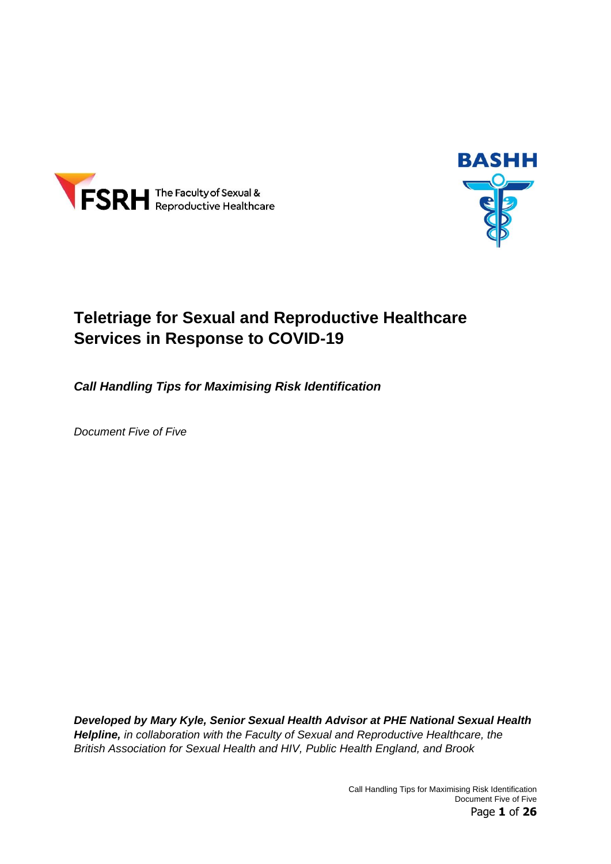



# **Teletriage for Sexual and Reproductive Healthcare Services in Response to COVID-19**

*Call Handling Tips for Maximising Risk Identification*

*Document Five of Five*

*Developed by Mary Kyle, Senior Sexual Health Advisor at PHE National Sexual Health Helpline, in collaboration with the Faculty of Sexual and Reproductive Healthcare, the British Association for Sexual Health and HIV, Public Health England, and Brook*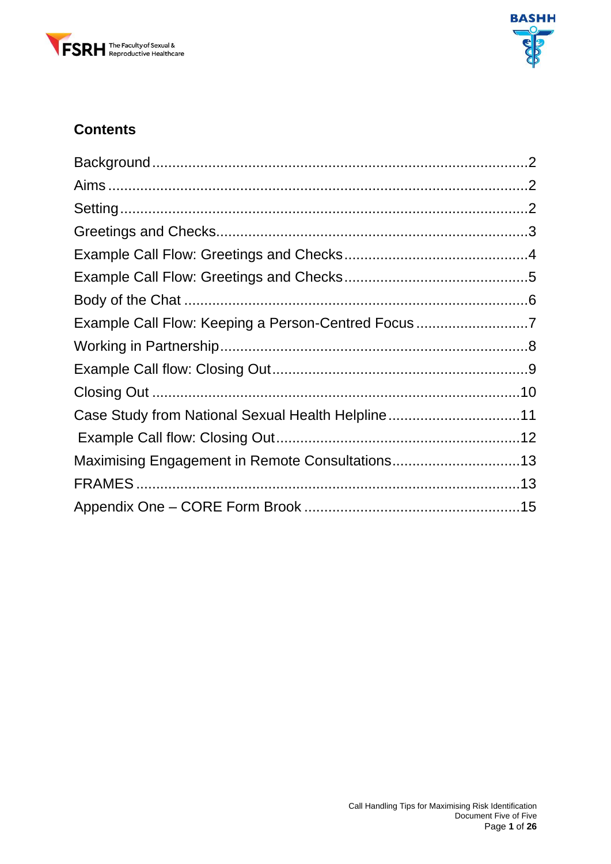



# **Contents**

| Example Call Flow: Keeping a Person-Centred Focus 7 |
|-----------------------------------------------------|
|                                                     |
|                                                     |
|                                                     |
| Case Study from National Sexual Health Helpline11   |
|                                                     |
| Maximising Engagement in Remote Consultations13     |
|                                                     |
|                                                     |
|                                                     |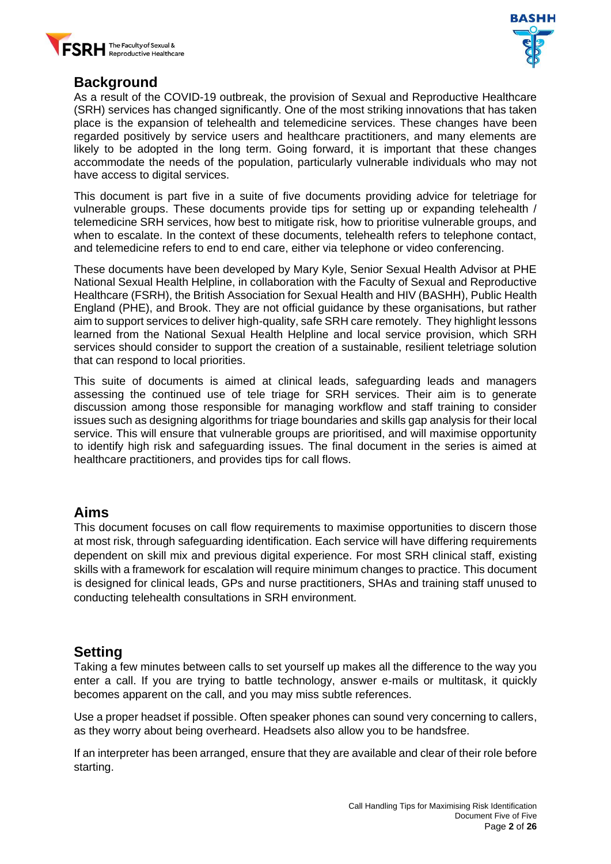



#### <span id="page-2-0"></span>**Background**

As a result of the COVID-19 outbreak, the provision of Sexual and Reproductive Healthcare (SRH) services has changed significantly. One of the most striking innovations that has taken place is the expansion of telehealth and telemedicine services. These changes have been regarded positively by service users and healthcare practitioners, and many elements are likely to be adopted in the long term. Going forward, it is important that these changes accommodate the needs of the population, particularly vulnerable individuals who may not have access to digital services.

This document is part five in a suite of five documents providing advice for teletriage for vulnerable groups. These documents provide tips for setting up or expanding telehealth / telemedicine SRH services, how best to mitigate risk, how to prioritise vulnerable groups, and when to escalate. In the context of these documents, telehealth refers to telephone contact, and telemedicine refers to end to end care, either via telephone or video conferencing.

These documents have been developed by Mary Kyle, Senior Sexual Health Advisor at PHE National Sexual Health Helpline, in collaboration with the Faculty of Sexual and Reproductive Healthcare (FSRH), the British Association for Sexual Health and HIV (BASHH), Public Health England (PHE), and Brook. They are not official guidance by these organisations, but rather aim to support services to deliver high-quality, safe SRH care remotely. They highlight lessons learned from the National Sexual Health Helpline and local service provision, which SRH services should consider to support the creation of a sustainable, resilient teletriage solution that can respond to local priorities.

This suite of documents is aimed at clinical leads, safeguarding leads and managers assessing the continued use of tele triage for SRH services. Their aim is to generate discussion among those responsible for managing workflow and staff training to consider issues such as designing algorithms for triage boundaries and skills gap analysis for their local service. This will ensure that vulnerable groups are prioritised, and will maximise opportunity to identify high risk and safeguarding issues. The final document in the series is aimed at healthcare practitioners, and provides tips for call flows.

#### <span id="page-2-1"></span>**Aims**

This document focuses on call flow requirements to maximise opportunities to discern those at most risk, through safeguarding identification. Each service will have differing requirements dependent on skill mix and previous digital experience. For most SRH clinical staff, existing skills with a framework for escalation will require minimum changes to practice. This document is designed for clinical leads, GPs and nurse practitioners, SHAs and training staff unused to conducting telehealth consultations in SRH environment.

#### <span id="page-2-2"></span>**Setting**

Taking a few minutes between calls to set yourself up makes all the difference to the way you enter a call. If you are trying to battle technology, answer e-mails or multitask, it quickly becomes apparent on the call, and you may miss subtle references.

Use a proper headset if possible. Often speaker phones can sound very concerning to callers, as they worry about being overheard. Headsets also allow you to be handsfree.

If an interpreter has been arranged, ensure that they are available and clear of their role before starting.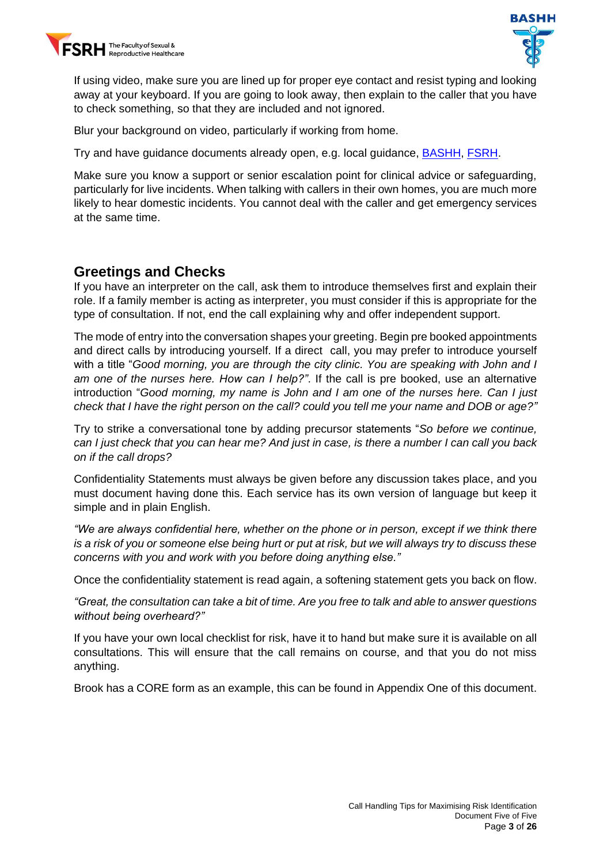



If using video, make sure you are lined up for proper eye contact and resist typing and looking away at your keyboard. If you are going to look away, then explain to the caller that you have to check something, so that they are included and not ignored.

Blur your background on video, particularly if working from home.

Try and have guidance documents already open, e.g. local guidance, [BASHH,](https://www.bashh.org/guidelines) [FSRH.](https://www.fsrh.org/standards-and-guidance/)

Make sure you know a support or senior escalation point for clinical advice or safeguarding, particularly for live incidents. When talking with callers in their own homes, you are much more likely to hear domestic incidents. You cannot deal with the caller and get emergency services at the same time.

#### <span id="page-3-0"></span>**Greetings and Checks**

If you have an interpreter on the call, ask them to introduce themselves first and explain their role. If a family member is acting as interpreter, you must consider if this is appropriate for the type of consultation. If not, end the call explaining why and offer independent support.

The mode of entry into the conversation shapes your greeting. Begin pre booked appointments and direct calls by introducing yourself. If a direct call, you may prefer to introduce yourself with a title "*Good morning, you are through the city clinic. You are speaking with John and I am one of the nurses here. How can I help?"*. If the call is pre booked, use an alternative introduction "*Good morning, my name is John and I am one of the nurses here. Can I just check that I have the right person on the call? could you tell me your name and DOB or age?"*

Try to strike a conversational tone by adding precursor statements "*So before we continue, can I just check that you can hear me? And just in case, is there a number I can call you back on if the call drops?*

Confidentiality Statements must always be given before any discussion takes place, and you must document having done this. Each service has its own version of language but keep it simple and in plain English.

*"We are always confidential here, whether on the phone or in person, except if we think there is a risk of you or someone else being hurt or put at risk, but we will always try to discuss these concerns with you and work with you before doing anything else."*

Once the confidentiality statement is read again, a softening statement gets you back on flow.

*"Great, the consultation can take a bit of time. Are you free to talk and able to answer questions without being overheard?"*

If you have your own local checklist for risk, have it to hand but make sure it is available on all consultations. This will ensure that the call remains on course, and that you do not miss anything.

Brook has a CORE form as an example, this can be found in Appendix One of this document.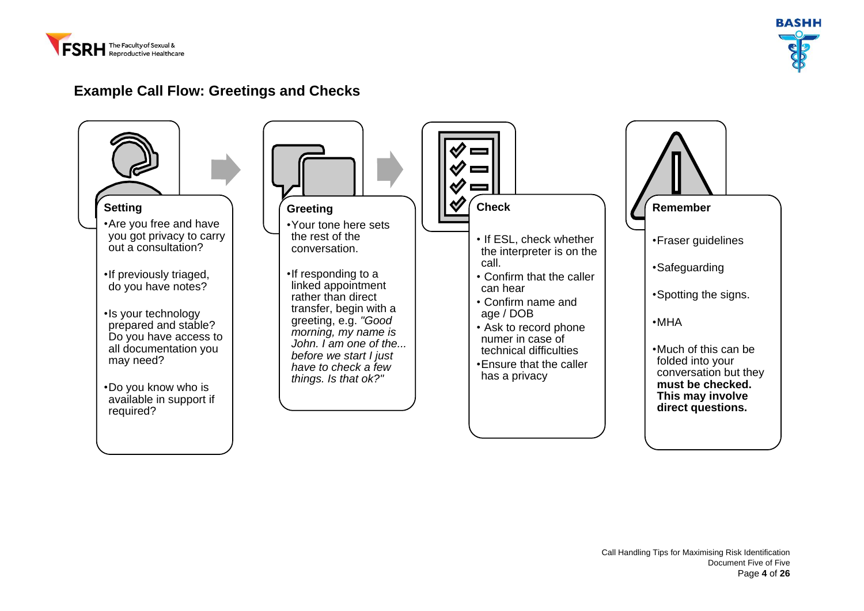



#### **Example Call Flow: Greetings and Checks**

<span id="page-4-0"></span>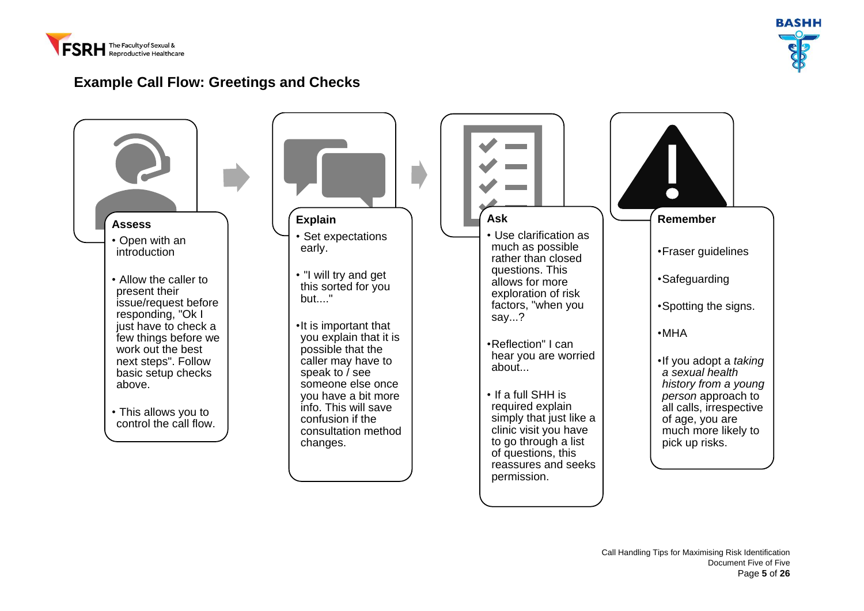



#### **Example Call Flow: Greetings and Checks**

<span id="page-5-0"></span>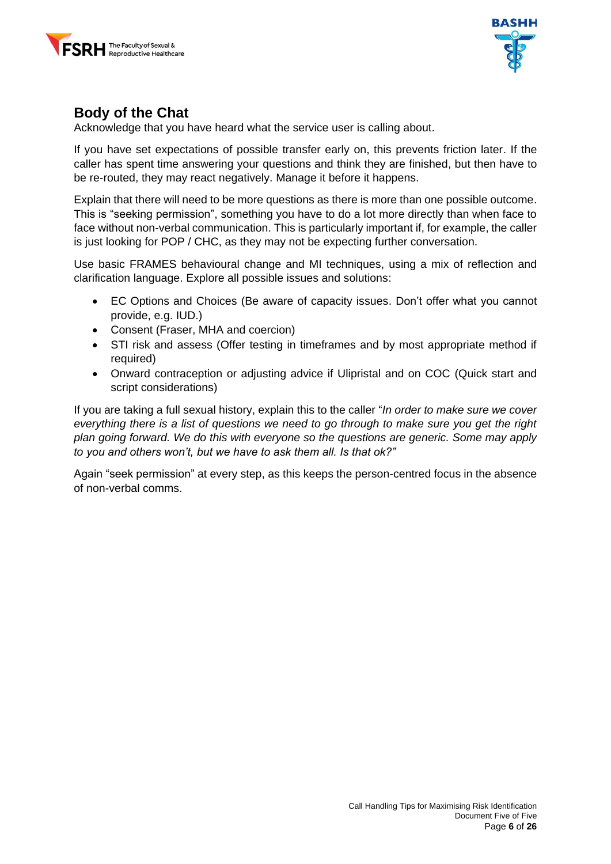



#### <span id="page-6-0"></span>**Body of the Chat**

Acknowledge that you have heard what the service user is calling about.

If you have set expectations of possible transfer early on, this prevents friction later. If the caller has spent time answering your questions and think they are finished, but then have to be re-routed, they may react negatively. Manage it before it happens.

Explain that there will need to be more questions as there is more than one possible outcome. This is "seeking permission", something you have to do a lot more directly than when face to face without non-verbal communication. This is particularly important if, for example, the caller is just looking for POP / CHC, as they may not be expecting further conversation.

Use basic FRAMES behavioural change and MI techniques, using a mix of reflection and clarification language. Explore all possible issues and solutions:

- EC Options and Choices (Be aware of capacity issues. Don't offer what you cannot provide, e.g. IUD.)
- Consent (Fraser, MHA and coercion)
- STI risk and assess (Offer testing in timeframes and by most appropriate method if required)
- Onward contraception or adjusting advice if Ulipristal and on COC (Quick start and script considerations)

If you are taking a full sexual history, explain this to the caller "*In order to make sure we cover everything there is a list of questions we need to go through to make sure you get the right plan going forward. We do this with everyone so the questions are generic. Some may apply to you and others won't, but we have to ask them all. Is that ok?"*

Again "seek permission" at every step, as this keeps the person-centred focus in the absence of non-verbal comms.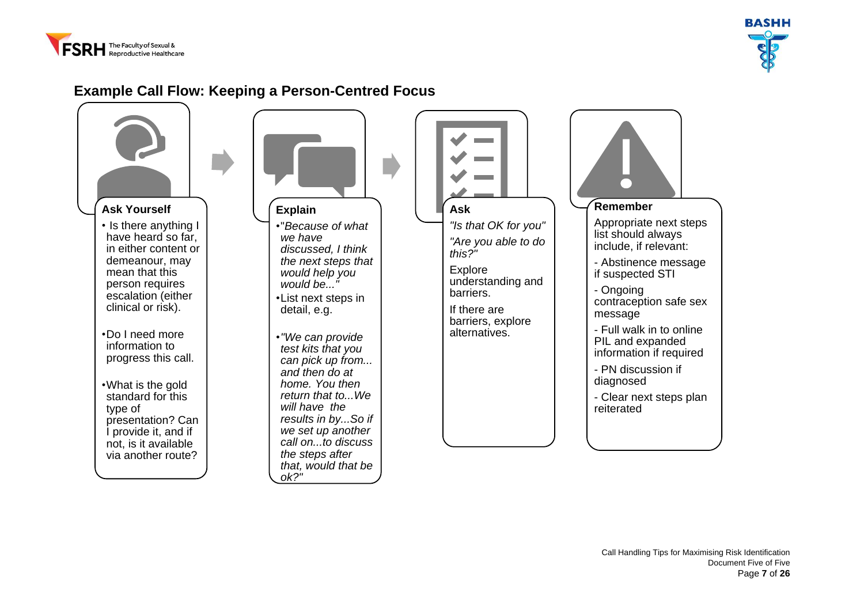



#### **Example Call Flow: Keeping a Person-Centred Focus**

<span id="page-7-0"></span>

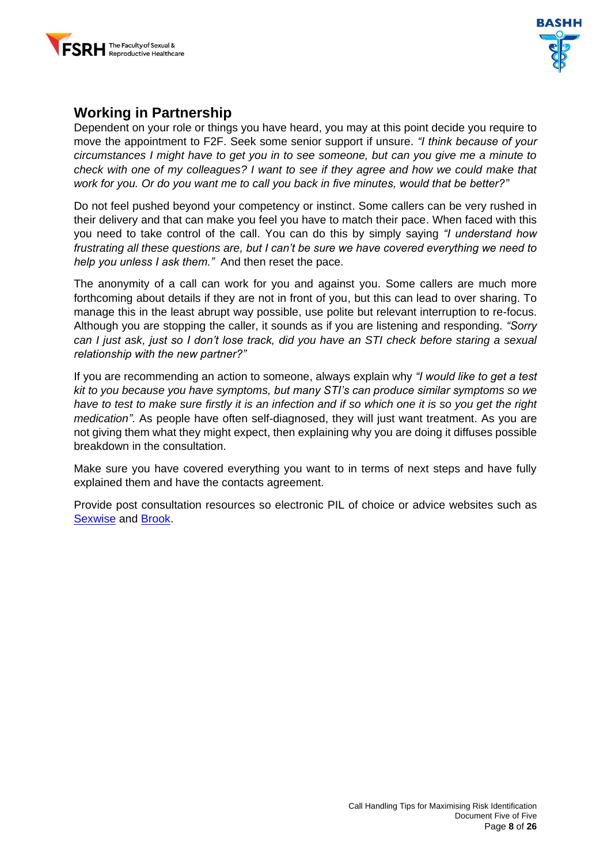



#### <span id="page-8-0"></span>**Working in Partnership**

Dependent on your role or things you have heard, you may at this point decide you require to move the appointment to F2F. Seek some senior support if unsure. *"I think because of your circumstances I might have to get you in to see someone, but can you give me a minute to check with one of my colleagues? I want to see if they agree and how we could make that work for you. Or do you want me to call you back in five minutes, would that be better?"*

Do not feel pushed beyond your competency or instinct. Some callers can be very rushed in their delivery and that can make you feel you have to match their pace. When faced with this you need to take control of the call. You can do this by simply saying *"I understand how frustrating all these questions are, but I can't be sure we have covered everything we need to help you unless I ask them."* And then reset the pace.

The anonymity of a call can work for you and against you. Some callers are much more forthcoming about details if they are not in front of you, but this can lead to over sharing. To manage this in the least abrupt way possible, use polite but relevant interruption to re-focus. Although you are stopping the caller, it sounds as if you are listening and responding. *"Sorry can I just ask, just so I don't lose track, did you have an STI check before staring a sexual relationship with the new partner?"* 

If you are recommending an action to someone, always explain why *"I would like to get a test kit to you because you have symptoms, but many STI's can produce similar symptoms so we have to test to make sure firstly it is an infection and if so which one it is so you get the right medication".* As people have often self-diagnosed, they will just want treatment. As you are not giving them what they might expect, then explaining why you are doing it diffuses possible breakdown in the consultation.

Make sure you have covered everything you want to in terms of next steps and have fully explained them and have the contacts agreement.

Provide post consultation resources so electronic PIL of choice or advice websites such as [Sexwise](https://www.sexwise.fpa.org.uk/) and [Brook.](https://www.brook.org.uk/help-advice/)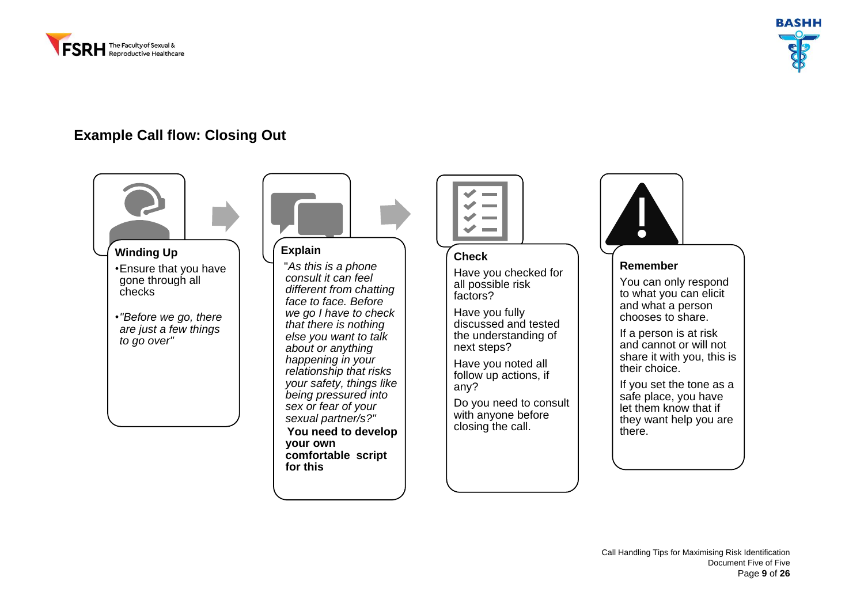



#### **Example Call flow: Closing Out**

<span id="page-9-0"></span>



#### **Explain**

"*As this is a phone consult it can feel different from chatting face to face. Before we go I have to check that there is nothing else you want to talk about or anything happening in your relationship that risks your safety, things like being pressured into sex or fear of your sexual partner/s?"* 

**You need to develop your own comfortable script for this**



#### **Check**

Have you checked for all possible risk factors?

Have you fully discussed and tested the understanding of next steps?

Have you noted all follow up actions, if any?

Do you need to consult with anyone before closing the call.



#### **Remember**

You can only respond to what you can elicit and what a person chooses to share.

If a person is at risk and cannot or will not share it with you, this is their choice.

If you set the tone as a safe place, you have let them know that if they want help you are there.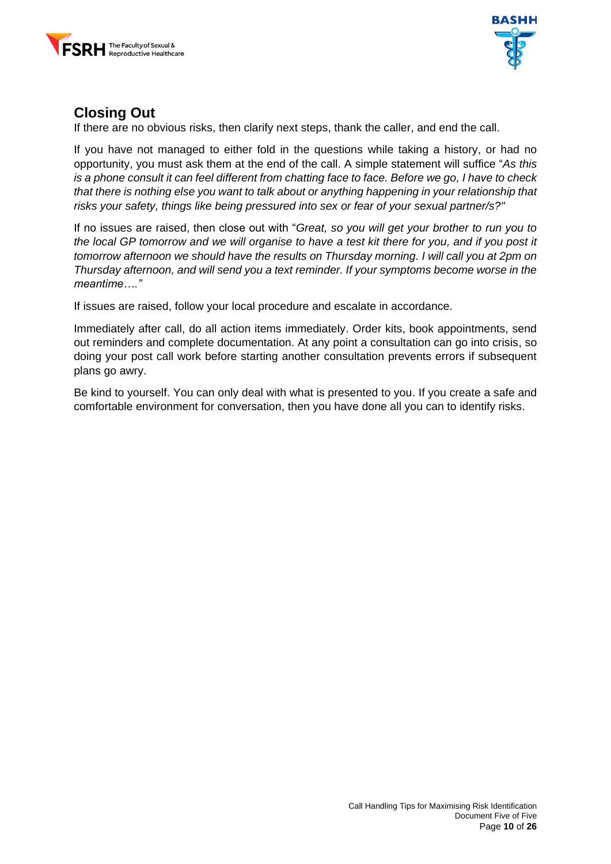



#### <span id="page-10-0"></span>**Closing Out**

If there are no obvious risks, then clarify next steps, thank the caller, and end the call.

If you have not managed to either fold in the questions while taking a history, or had no opportunity, you must ask them at the end of the call. A simple statement will suffice "*As this is a phone consult it can feel different from chatting face to face. Before we go, I have to check that there is nothing else you want to talk about or anything happening in your relationship that risks your safety, things like being pressured into sex or fear of your sexual partner/s?"* 

If no issues are raised, then close out with "*Great, so you will get your brother to run you to the local GP tomorrow and we will organise to have a test kit there for you, and if you post it tomorrow afternoon we should have the results on Thursday morning. I will call you at 2pm on Thursday afternoon, and will send you a text reminder. If your symptoms become worse in the meantime…."* 

If issues are raised, follow your local procedure and escalate in accordance.

Immediately after call, do all action items immediately. Order kits, book appointments, send out reminders and complete documentation. At any point a consultation can go into crisis, so doing your post call work before starting another consultation prevents errors if subsequent plans go awry.

Be kind to yourself. You can only deal with what is presented to you. If you create a safe and comfortable environment for conversation, then you have done all you can to identify risks.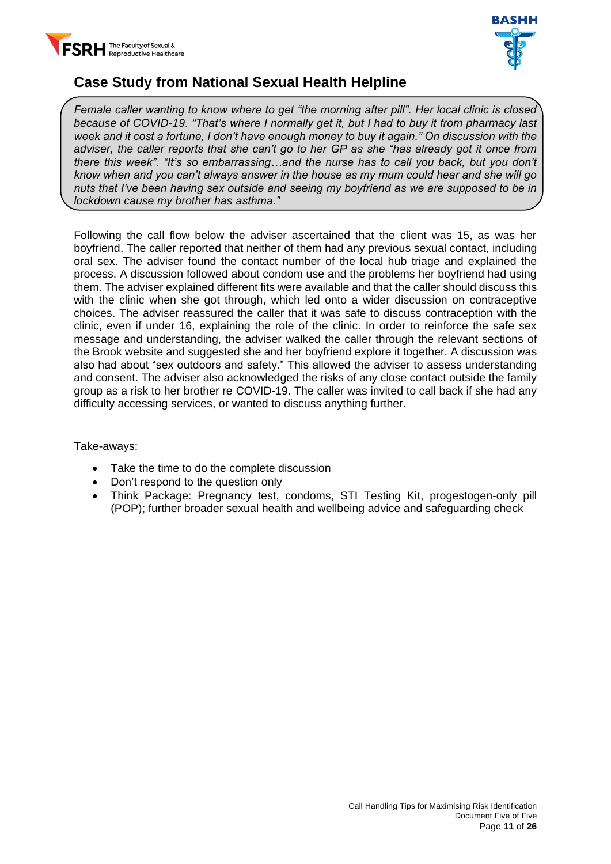



### <span id="page-11-0"></span>**Case Study from National Sexual Health Helpline**

*Female caller wanting to know where to get "the morning after pill". Her local clinic is closed because of COVID-19. "That's where I normally get it, but I had to buy it from pharmacy last week and it cost a fortune, I don't have enough money to buy it again." On discussion with the adviser, the caller reports that she can't go to her GP as she "has already got it once from there this week". "It's so embarrassing…and the nurse has to call you back, but you don't know when and you can't always answer in the house as my mum could hear and she will go nuts that I've been having sex outside and seeing my boyfriend as we are supposed to be in lockdown cause my brother has asthma."*

Following the call flow below the adviser ascertained that the client was 15, as was her boyfriend. The caller reported that neither of them had any previous sexual contact, including oral sex. The adviser found the contact number of the local hub triage and explained the process. A discussion followed about condom use and the problems her boyfriend had using them. The adviser explained different fits were available and that the caller should discuss this with the clinic when she got through, which led onto a wider discussion on contraceptive choices. The adviser reassured the caller that it was safe to discuss contraception with the clinic, even if under 16, explaining the role of the clinic. In order to reinforce the safe sex message and understanding, the adviser walked the caller through the relevant sections of the Brook website and suggested she and her boyfriend explore it together. A discussion was also had about "sex outdoors and safety." This allowed the adviser to assess understanding and consent. The adviser also acknowledged the risks of any close contact outside the family group as a risk to her brother re COVID-19. The caller was invited to call back if she had any difficulty accessing services, or wanted to discuss anything further.

Take-aways:

- Take the time to do the complete discussion
- Don't respond to the question only
- Think Package: Pregnancy test, condoms, STI Testing Kit, progestogen-only pill (POP); further broader sexual health and wellbeing advice and safeguarding check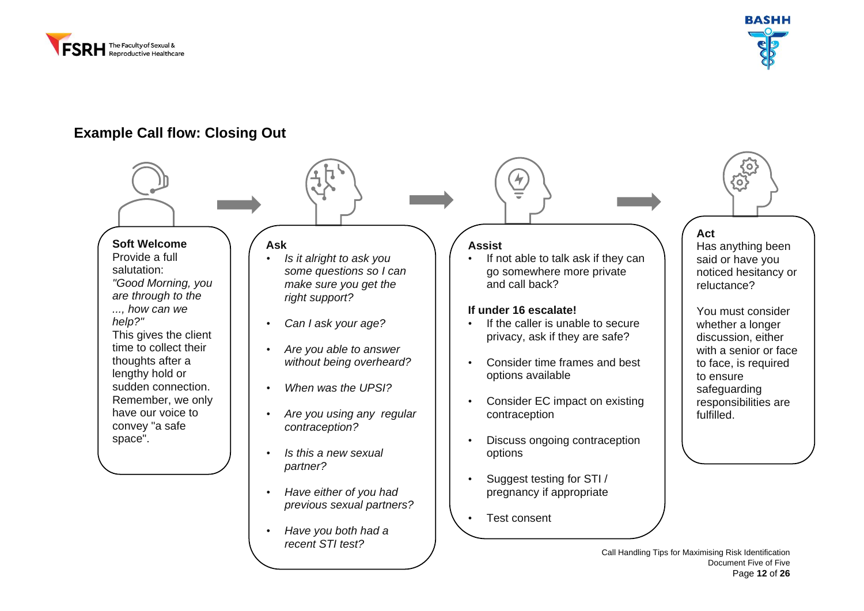



#### **Example Call flow: Closing Out**

#### **Soft Welcome** Provide a full salutation: *"Good Morning, you are through to the ..., how can we help?"* This gives the client time to collect their thoughts after a lengthy hold or sudden connection. Remember, we only **Ask** *• Is it alright to ask you some questions so I can make sure you get the right support? • Can I ask your age? • Are you able to answer without being overheard? • When was the UPSI?* **Assist** If not able to talk ask if they can go somewhere more private and call back? **If under 16 escalate!** • If the caller is unable to secure privacy, ask if they are safe? • Consider time frames and best options available • Consider EC impact on existing contraception

- Discuss ongoing contraception options
- Suggest testing for STI / pregnancy if appropriate
- Test consent

# **Act**

ᢙ

Has anything been said or have you noticed hesitancy or reluctance?

You must consider whether a longer discussion, either with a senior or face to face, is required to ensure safeguarding responsibilities are fulfilled.

<span id="page-12-0"></span>have our voice to convey "a safe space".

- *• Are you using any regular contraception?*
- *• Is this a new sexual partner?*
- *• Have either of you had previous sexual partners?*
- *• Have you both had a recent STI test?*

Call Handling Tips for Maximising Risk Identification Document Five of Five Page **12** of **26**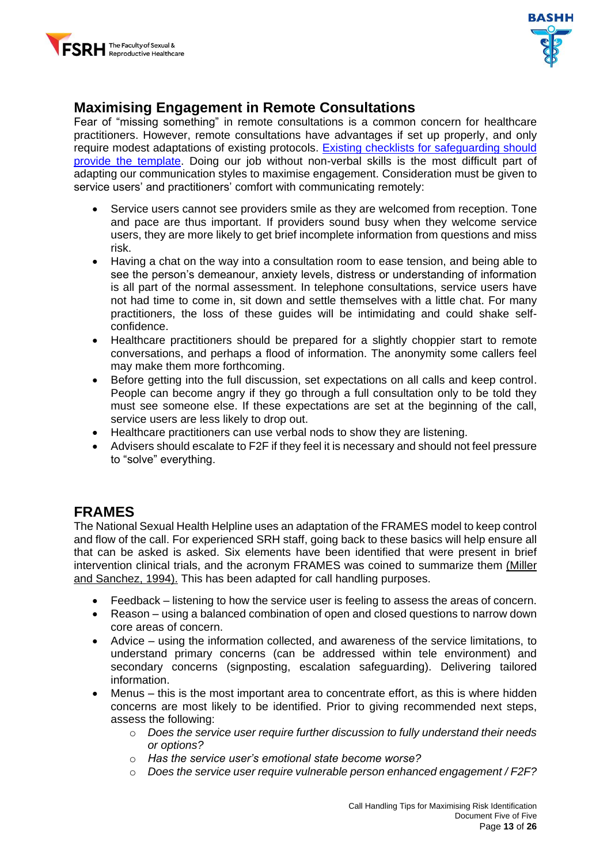



## <span id="page-13-0"></span>**Maximising Engagement in Remote Consultations**

Fear of "missing something" in remote consultations is a common concern for healthcare practitioners. However, remote consultations have advantages if set up properly, and only require modest adaptations of existing protocols. [Existing checklists for safeguarding should](https://www.fsrh.org/standards-and-guidance/documents/fsrhbashh-standards-for-online-and-remote-providers-of-sexual/)  [provide the template.](https://www.fsrh.org/standards-and-guidance/documents/fsrhbashh-standards-for-online-and-remote-providers-of-sexual/) Doing our job without non-verbal skills is the most difficult part of adapting our communication styles to maximise engagement. Consideration must be given to service users' and practitioners' comfort with communicating remotely:

- Service users cannot see providers smile as they are welcomed from reception. Tone and pace are thus important. If providers sound busy when they welcome service users, they are more likely to get brief incomplete information from questions and miss risk.
- Having a chat on the way into a consultation room to ease tension, and being able to see the person's demeanour, anxiety levels, distress or understanding of information is all part of the normal assessment. In telephone consultations, service users have not had time to come in, sit down and settle themselves with a little chat. For many practitioners, the loss of these guides will be intimidating and could shake selfconfidence.
- Healthcare practitioners should be prepared for a slightly choppier start to remote conversations, and perhaps a flood of information. The anonymity some callers feel may make them more forthcoming.
- Before getting into the full discussion, set expectations on all calls and keep control. People can become angry if they go through a full consultation only to be told they must see someone else. If these expectations are set at the beginning of the call, service users are less likely to drop out.
- Healthcare practitioners can use verbal nods to show they are listening.
- Advisers should escalate to F2F if they feel it is necessary and should not feel pressure to "solve" everything.

#### <span id="page-13-1"></span>**FRAMES**

The National Sexual Health Helpline uses an adaptation of the FRAMES model to keep control and flow of the call. For experienced SRH staff, going back to these basics will help ensure all that can be asked is asked. Six elements have been identified that were present in brief intervention clinical trials, and the acronym FRAMES was coined to summarize them (Miller [and Sanchez, 1994\).](https://www.ncbi.nlm.nih.gov/books/NBK64963/) This has been adapted for call handling purposes.

- Feedback listening to how the service user is feeling to assess the areas of concern.
- Reason using a balanced combination of open and closed questions to narrow down core areas of concern.
- Advice using the information collected, and awareness of the service limitations, to understand primary concerns (can be addressed within tele environment) and secondary concerns (signposting, escalation safeguarding). Delivering tailored information.
- Menus this is the most important area to concentrate effort, as this is where hidden concerns are most likely to be identified. Prior to giving recommended next steps, assess the following:
	- o *Does the service user require further discussion to fully understand their needs or options?*
	- o *Has the service user's emotional state become worse?*
	- o *Does the service user require vulnerable person enhanced engagement / F2F?*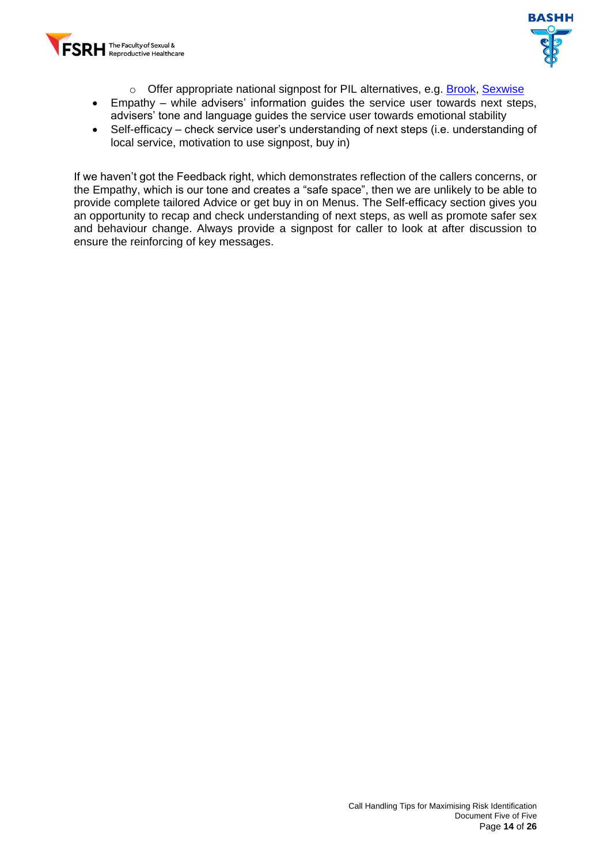



- o Offer appropriate national signpost for PIL alternatives, e.g. [Brook,](https://www.brook.org.uk/) Sexwise
- Empathy while advisers' information guides the service user towards next steps, advisers' tone and language guides the service user towards emotional stability
- Self-efficacy check service user's understanding of next steps (i.e. understanding of local service, motivation to use signpost, buy in)

If we haven't got the Feedback right, which demonstrates reflection of the callers concerns, or the Empathy, which is our tone and creates a "safe space", then we are unlikely to be able to provide complete tailored Advice or get buy in on Menus. The Self-efficacy section gives you an opportunity to recap and check understanding of next steps, as well as promote safer sex and behaviour change. Always provide a signpost for caller to look at after discussion to ensure the reinforcing of key messages.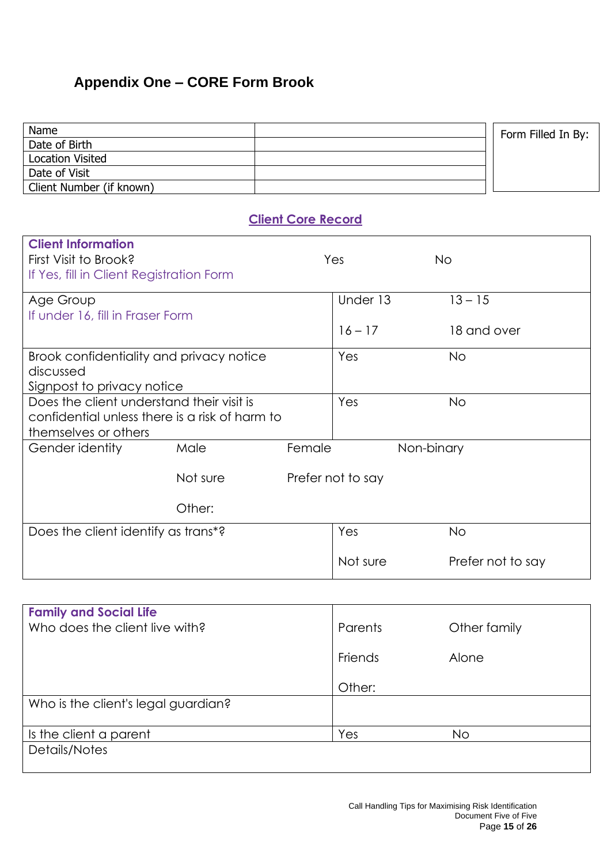# <span id="page-15-0"></span>**Appendix One – CORE Form Brook**

| Name                                      |                                                |                           |                   |             | Form Filled In By: |
|-------------------------------------------|------------------------------------------------|---------------------------|-------------------|-------------|--------------------|
| Date of Birth                             |                                                |                           |                   |             |                    |
| <b>Location Visited</b>                   |                                                |                           |                   |             |                    |
| Date of Visit                             |                                                |                           |                   |             |                    |
| Client Number (if known)                  |                                                |                           |                   |             |                    |
|                                           |                                                | <b>Client Core Record</b> |                   |             |                    |
| <b>Client Information</b>                 |                                                |                           |                   |             |                    |
| First Visit to Brook?                     |                                                |                           | Yes               | <b>No</b>   |                    |
| If Yes, fill in Client Registration Form  |                                                |                           |                   |             |                    |
|                                           |                                                |                           |                   |             |                    |
| Age Group                                 |                                                |                           | Under 13          | $13 - 15$   |                    |
| If under 16, fill in Fraser Form          |                                                |                           |                   |             |                    |
|                                           |                                                |                           | $16 - 17$         | 18 and over |                    |
| Brook confidentiality and privacy notice  |                                                |                           | Yes               | <b>No</b>   |                    |
| discussed                                 |                                                |                           |                   |             |                    |
| Signpost to privacy notice                |                                                |                           |                   |             |                    |
| Does the client understand their visit is |                                                |                           | Yes               | <b>No</b>   |                    |
|                                           | confidential unless there is a risk of harm to |                           |                   |             |                    |
| themselves or others                      |                                                |                           |                   |             |                    |
| Gender identity                           | Male                                           | Female                    |                   | Non-binary  |                    |
|                                           |                                                |                           |                   |             |                    |
|                                           | Not sure                                       |                           | Prefer not to say |             |                    |
|                                           |                                                |                           |                   |             |                    |
|                                           | Other:                                         |                           |                   |             |                    |
| Does the client identify as trans*?       |                                                |                           | Yes               | <b>No</b>   |                    |
|                                           |                                                |                           | Not sure          |             | Prefer not to say  |

| <b>Family and Social Life</b>       |         |              |
|-------------------------------------|---------|--------------|
| Who does the client live with?      | Parents | Other family |
|                                     | Friends | Alone        |
|                                     | Other:  |              |
| Who is the client's legal guardian? |         |              |
| Is the client a parent              | Yes     | No.          |
| Details/Notes                       |         |              |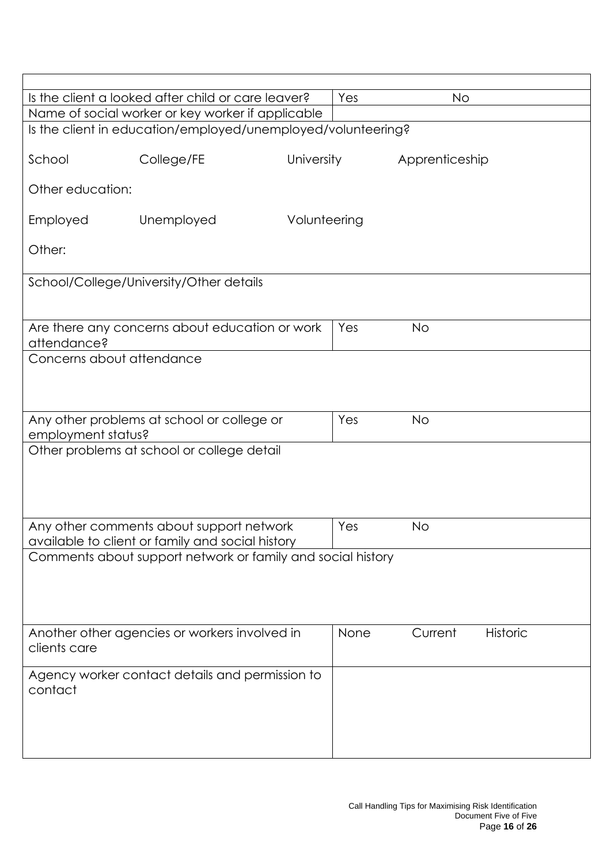|                           | Is the client a looked after child or care leaver?                                                              |              | Yes  | No             |                 |  |
|---------------------------|-----------------------------------------------------------------------------------------------------------------|--------------|------|----------------|-----------------|--|
|                           | Name of social worker or key worker if applicable                                                               |              |      |                |                 |  |
|                           | Is the client in education/employed/unemployed/volunteering?                                                    |              |      |                |                 |  |
| School                    | College/FE                                                                                                      | University   |      | Apprenticeship |                 |  |
| Other education:          |                                                                                                                 |              |      |                |                 |  |
| Employed                  | Unemployed                                                                                                      | Volunteering |      |                |                 |  |
| Other:                    |                                                                                                                 |              |      |                |                 |  |
|                           | School/College/University/Other details                                                                         |              |      |                |                 |  |
|                           |                                                                                                                 |              |      |                |                 |  |
| attendance?               | Are there any concerns about education or work                                                                  |              | Yes  | <b>No</b>      |                 |  |
| Concerns about attendance |                                                                                                                 |              |      |                |                 |  |
|                           |                                                                                                                 |              |      |                |                 |  |
|                           |                                                                                                                 |              |      |                |                 |  |
| employment status?        | Any other problems at school or college or                                                                      |              | Yes  | <b>No</b>      |                 |  |
|                           | Other problems at school or college detail                                                                      |              |      |                |                 |  |
|                           |                                                                                                                 |              |      |                |                 |  |
|                           |                                                                                                                 |              |      |                |                 |  |
|                           |                                                                                                                 |              |      |                |                 |  |
|                           | Any other comments about support network                                                                        |              | Yes  | <b>No</b>      |                 |  |
|                           | available to client or family and social history<br>Comments about support network or family and social history |              |      |                |                 |  |
|                           |                                                                                                                 |              |      |                |                 |  |
|                           |                                                                                                                 |              |      |                |                 |  |
|                           |                                                                                                                 |              |      |                |                 |  |
|                           | Another other agencies or workers involved in                                                                   |              | None | Current        | <b>Historic</b> |  |
| clients care              |                                                                                                                 |              |      |                |                 |  |
|                           | Agency worker contact details and permission to                                                                 |              |      |                |                 |  |
| contact                   |                                                                                                                 |              |      |                |                 |  |
|                           |                                                                                                                 |              |      |                |                 |  |
|                           |                                                                                                                 |              |      |                |                 |  |
|                           |                                                                                                                 |              |      |                |                 |  |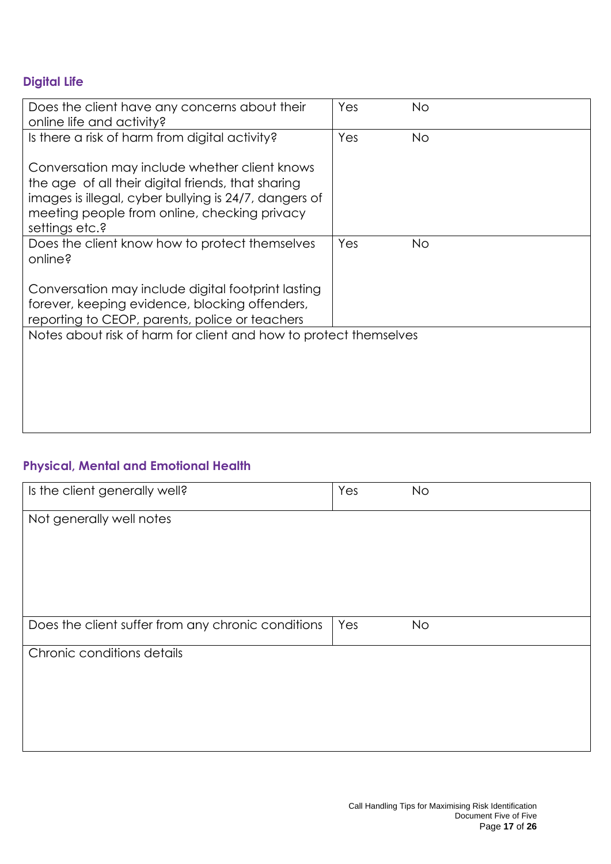# **Digital Life**

| Does the client have any concerns about their<br>online life and activity?                                                                                                                                                     | Yes | <b>No</b> |  |
|--------------------------------------------------------------------------------------------------------------------------------------------------------------------------------------------------------------------------------|-----|-----------|--|
| Is there a risk of harm from digital activity?                                                                                                                                                                                 | Yes | <b>No</b> |  |
| Conversation may include whether client knows<br>the age of all their digital friends, that sharing<br>images is illegal, cyber bullying is 24/7, dangers of<br>meeting people from online, checking privacy<br>settings etc.? |     |           |  |
| Does the client know how to protect themselves<br>online?                                                                                                                                                                      | Yes | <b>No</b> |  |
| Conversation may include digital footprint lasting<br>forever, keeping evidence, blocking offenders,<br>reporting to CEOP, parents, police or teachers                                                                         |     |           |  |
| Notes about risk of harm for client and how to protect themselves                                                                                                                                                              |     |           |  |
|                                                                                                                                                                                                                                |     |           |  |
|                                                                                                                                                                                                                                |     |           |  |

#### **Physical, Mental and Emotional Health**

| Is the client generally well?                      | Yes | <b>No</b> |
|----------------------------------------------------|-----|-----------|
| Not generally well notes                           |     |           |
|                                                    |     |           |
|                                                    |     |           |
|                                                    |     |           |
|                                                    |     |           |
| Does the client suffer from any chronic conditions | Yes | <b>No</b> |
| Chronic conditions details                         |     |           |
|                                                    |     |           |
|                                                    |     |           |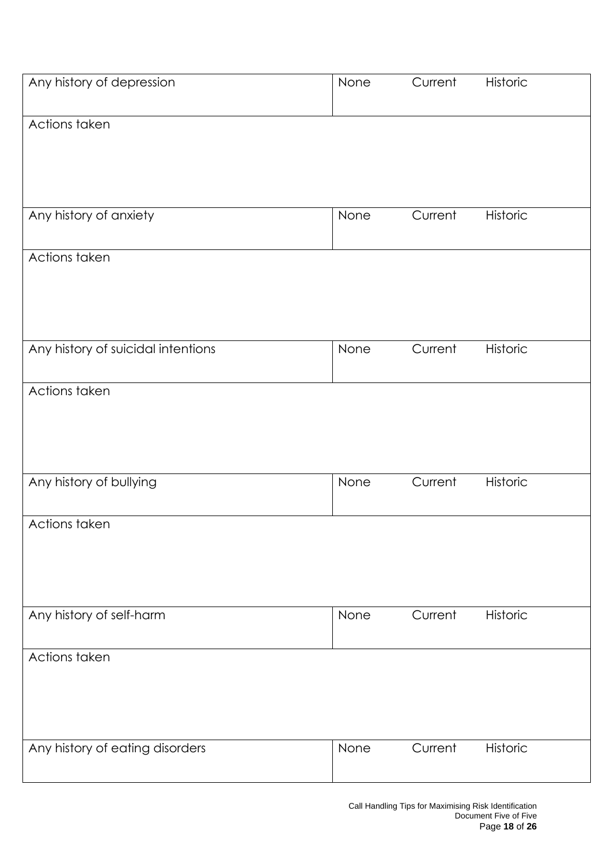| Any history of depression          | None | Current | Historic |
|------------------------------------|------|---------|----------|
| Actions taken                      |      |         |          |
|                                    |      |         |          |
|                                    |      |         |          |
| Any history of anxiety             | None | Current | Historic |
| Actions taken                      |      |         |          |
|                                    |      |         |          |
|                                    |      |         |          |
| Any history of suicidal intentions | None | Current | Historic |
| Actions taken                      |      |         |          |
|                                    |      |         |          |
|                                    |      |         |          |
|                                    |      |         |          |
| Any history of bullying            | None | Current | Historic |
| Actions taken                      |      |         |          |
|                                    |      |         |          |
|                                    |      |         |          |
| Any history of self-harm           | None | Current | Historic |
|                                    |      |         |          |
| Actions taken                      |      |         |          |
|                                    |      |         |          |
|                                    |      |         |          |
| Any history of eating disorders    | None | Current | Historic |
|                                    |      |         |          |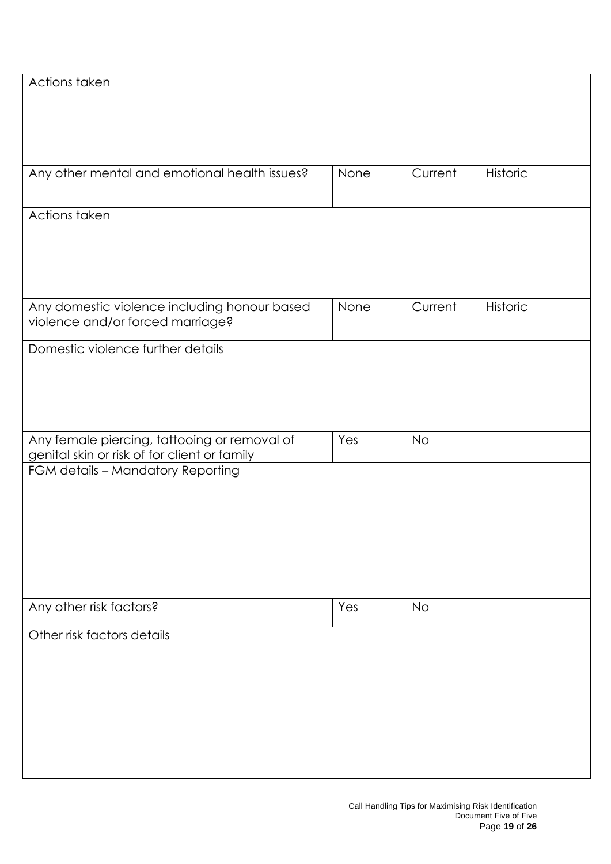| Actions taken                                 |      |           |                 |
|-----------------------------------------------|------|-----------|-----------------|
|                                               |      |           |                 |
|                                               |      |           |                 |
|                                               |      |           |                 |
|                                               |      |           |                 |
|                                               |      |           |                 |
| Any other mental and emotional health issues? | None | Current   | <b>Historic</b> |
|                                               |      |           |                 |
|                                               |      |           |                 |
| Actions taken                                 |      |           |                 |
|                                               |      |           |                 |
|                                               |      |           |                 |
|                                               |      |           |                 |
|                                               |      |           |                 |
|                                               |      |           |                 |
| Any domestic violence including honour based  | None | Current   | Historic        |
| violence and/or forced marriage?              |      |           |                 |
|                                               |      |           |                 |
| Domestic violence further details             |      |           |                 |
|                                               |      |           |                 |
|                                               |      |           |                 |
|                                               |      |           |                 |
|                                               |      |           |                 |
|                                               |      |           |                 |
| Any female piercing, tattooing or removal of  | Yes  | <b>No</b> |                 |
| genital skin or risk of for client or family  |      |           |                 |
| FGM details - Mandatory Reporting             |      |           |                 |
|                                               |      |           |                 |
|                                               |      |           |                 |
|                                               |      |           |                 |
|                                               |      |           |                 |
|                                               |      |           |                 |
|                                               |      |           |                 |
|                                               |      |           |                 |
|                                               |      |           |                 |
|                                               |      |           |                 |
| Any other risk factors?                       | Yes  | No        |                 |
|                                               |      |           |                 |
| Other risk factors details                    |      |           |                 |
|                                               |      |           |                 |
|                                               |      |           |                 |
|                                               |      |           |                 |
|                                               |      |           |                 |
|                                               |      |           |                 |
|                                               |      |           |                 |
|                                               |      |           |                 |
|                                               |      |           |                 |
|                                               |      |           |                 |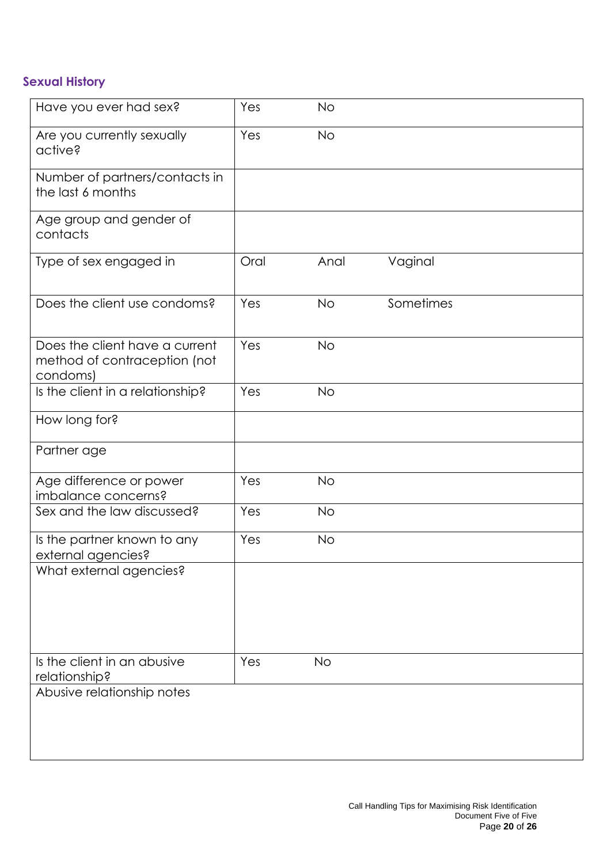#### **Sexual History**

| Have you ever had sex?                                                     | Yes  | <b>No</b> |           |  |
|----------------------------------------------------------------------------|------|-----------|-----------|--|
| Are you currently sexually<br>active?                                      | Yes  | <b>No</b> |           |  |
| Number of partners/contacts in<br>the last 6 months                        |      |           |           |  |
| Age group and gender of<br>contacts                                        |      |           |           |  |
| Type of sex engaged in                                                     | Oral | Anal      | Vaginal   |  |
| Does the client use condoms?                                               | Yes  | <b>No</b> | Sometimes |  |
| Does the client have a current<br>method of contraception (not<br>condoms) | Yes  | <b>No</b> |           |  |
| Is the client in a relationship?                                           | Yes  | <b>No</b> |           |  |
| How long for?                                                              |      |           |           |  |
| Partner age                                                                |      |           |           |  |
| Age difference or power<br>imbalance concerns?                             | Yes  | <b>No</b> |           |  |
| Sex and the law discussed?                                                 | Yes  | <b>No</b> |           |  |
| Is the partner known to any<br>external agencies?                          | Yes  | <b>No</b> |           |  |
| What external agencies?                                                    |      |           |           |  |
| Is the client in an abusive<br>relationship?                               | Yes  | <b>No</b> |           |  |
| Abusive relationship notes                                                 |      |           |           |  |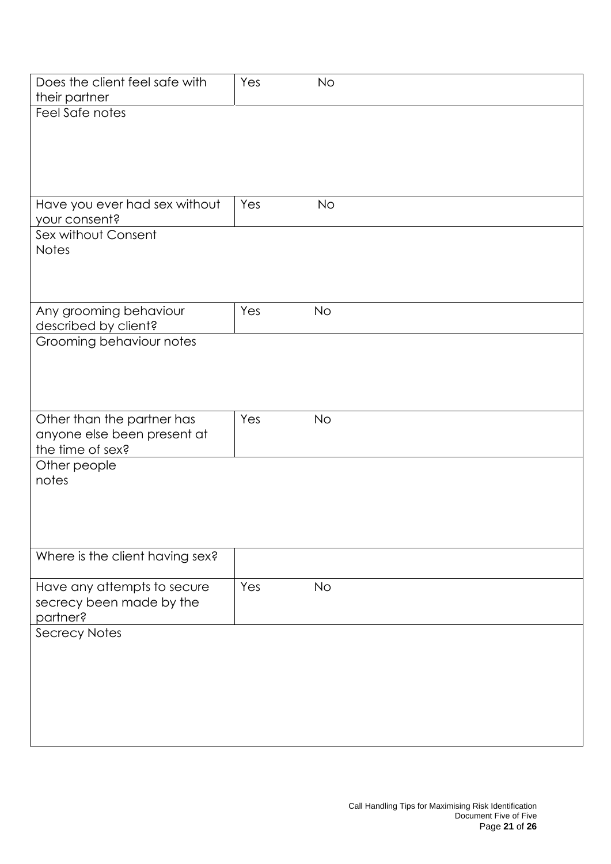| Does the client feel safe with<br>their partner | Yes | <b>No</b> |  |  |
|-------------------------------------------------|-----|-----------|--|--|
| Feel Safe notes                                 |     |           |  |  |
|                                                 |     |           |  |  |
|                                                 |     |           |  |  |
|                                                 |     |           |  |  |
|                                                 |     |           |  |  |
|                                                 |     |           |  |  |
|                                                 |     |           |  |  |
| Have you ever had sex without                   | Yes | <b>No</b> |  |  |
| your consent?                                   |     |           |  |  |
| Sex without Consent                             |     |           |  |  |
| <b>Notes</b>                                    |     |           |  |  |
|                                                 |     |           |  |  |
|                                                 |     |           |  |  |
|                                                 |     |           |  |  |
| Any grooming behaviour                          | Yes | <b>No</b> |  |  |
| described by client?                            |     |           |  |  |
| Grooming behaviour notes                        |     |           |  |  |
|                                                 |     |           |  |  |
|                                                 |     |           |  |  |
|                                                 |     |           |  |  |
|                                                 |     |           |  |  |
|                                                 |     |           |  |  |
| Other than the partner has                      | Yes | <b>No</b> |  |  |
| anyone else been present at                     |     |           |  |  |
| the time of sex?                                |     |           |  |  |
| Other people                                    |     |           |  |  |
| notes                                           |     |           |  |  |
|                                                 |     |           |  |  |
|                                                 |     |           |  |  |
|                                                 |     |           |  |  |
|                                                 |     |           |  |  |
| Where is the client having sex?                 |     |           |  |  |
|                                                 |     |           |  |  |
| Have any attempts to secure                     | Yes | No        |  |  |
| secrecy been made by the                        |     |           |  |  |
| partner?                                        |     |           |  |  |
| <b>Secrecy Notes</b>                            |     |           |  |  |
|                                                 |     |           |  |  |
|                                                 |     |           |  |  |
|                                                 |     |           |  |  |
|                                                 |     |           |  |  |
|                                                 |     |           |  |  |
|                                                 |     |           |  |  |
|                                                 |     |           |  |  |
|                                                 |     |           |  |  |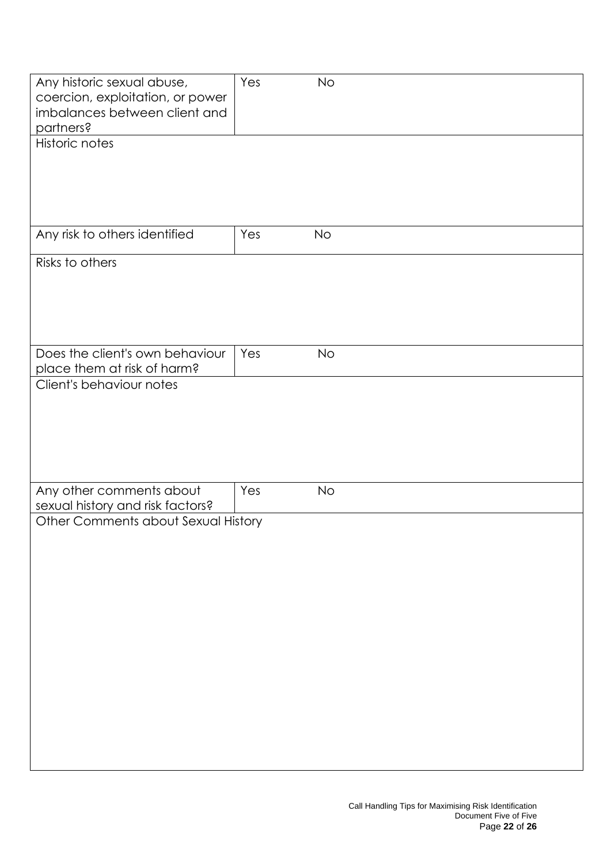| Any historic sexual abuse,          | Yes | <b>No</b> |
|-------------------------------------|-----|-----------|
| coercion, exploitation, or power    |     |           |
| imbalances between client and       |     |           |
|                                     |     |           |
| partners?                           |     |           |
| Historic notes                      |     |           |
|                                     |     |           |
|                                     |     |           |
|                                     |     |           |
|                                     |     |           |
|                                     |     |           |
|                                     |     |           |
| Any risk to others identified       | Yes | <b>No</b> |
|                                     |     |           |
| Risks to others                     |     |           |
|                                     |     |           |
|                                     |     |           |
|                                     |     |           |
|                                     |     |           |
|                                     |     |           |
| Does the client's own behaviour     | Yes | <b>No</b> |
|                                     |     |           |
| place them at risk of harm?         |     |           |
| Client's behaviour notes            |     |           |
|                                     |     |           |
|                                     |     |           |
|                                     |     |           |
|                                     |     |           |
|                                     |     |           |
|                                     |     |           |
|                                     |     |           |
| Any other comments about            | Yes | No        |
| sexual history and risk factors?    |     |           |
| Other Comments about Sexual History |     |           |
|                                     |     |           |
|                                     |     |           |
|                                     |     |           |
|                                     |     |           |
|                                     |     |           |
|                                     |     |           |
|                                     |     |           |
|                                     |     |           |
|                                     |     |           |
|                                     |     |           |
|                                     |     |           |
|                                     |     |           |
|                                     |     |           |
|                                     |     |           |
|                                     |     |           |
|                                     |     |           |
|                                     |     |           |
|                                     |     |           |
|                                     |     |           |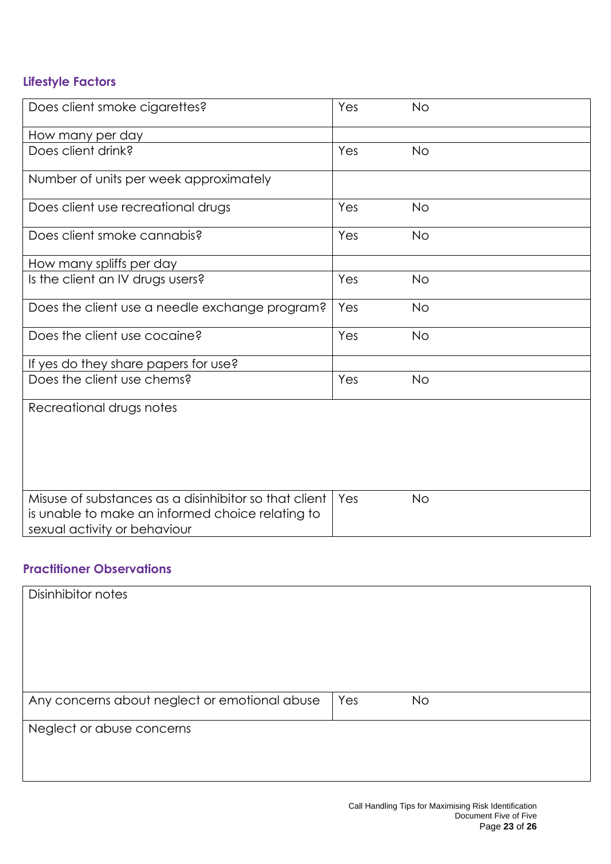# **Lifestyle Factors**

| Does client smoke cigarettes?                                                                                                             | Yes | <b>No</b> |  |
|-------------------------------------------------------------------------------------------------------------------------------------------|-----|-----------|--|
| How many per day                                                                                                                          |     |           |  |
| Does client drink?                                                                                                                        | Yes | <b>No</b> |  |
| Number of units per week approximately                                                                                                    |     |           |  |
| Does client use recreational drugs                                                                                                        | Yes | <b>No</b> |  |
| Does client smoke cannabis?                                                                                                               | Yes | <b>No</b> |  |
| How many spliffs per day                                                                                                                  |     |           |  |
| Is the client an IV drugs users?                                                                                                          | Yes | <b>No</b> |  |
| Does the client use a needle exchange program?                                                                                            | Yes | <b>No</b> |  |
| Does the client use cocaine?                                                                                                              | Yes | <b>No</b> |  |
| If yes do they share papers for use?                                                                                                      |     |           |  |
| Does the client use chems?                                                                                                                | Yes | <b>No</b> |  |
| Recreational drugs notes                                                                                                                  |     |           |  |
|                                                                                                                                           |     |           |  |
|                                                                                                                                           |     |           |  |
|                                                                                                                                           |     |           |  |
| Misuse of substances as a disinhibitor so that client<br>is unable to make an informed choice relating to<br>sexual activity or behaviour | Yes | <b>No</b> |  |

#### **Practitioner Observations**

| Disinhibitor notes                            |     |           |  |
|-----------------------------------------------|-----|-----------|--|
|                                               |     |           |  |
|                                               |     |           |  |
|                                               |     |           |  |
| Neglect or abuse concerns                     |     |           |  |
|                                               |     |           |  |
| Any concerns about neglect or emotional abuse | Yes | <b>No</b> |  |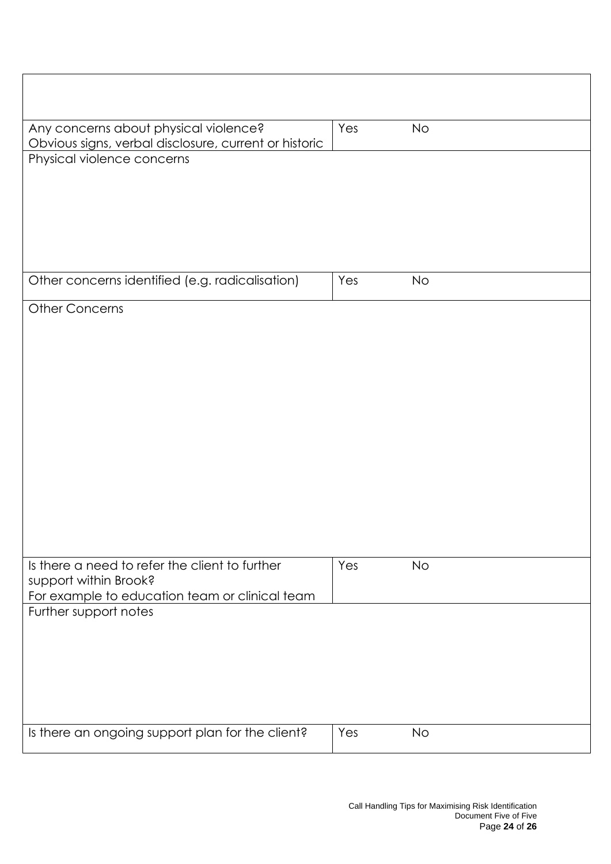| Any concerns about physical violence?<br>Obvious signs, verbal disclosure, current or historic | Yes | <b>No</b> |  |
|------------------------------------------------------------------------------------------------|-----|-----------|--|
| Physical violence concerns                                                                     |     |           |  |
|                                                                                                |     |           |  |
|                                                                                                |     |           |  |
| Other concerns identified (e.g. radicalisation)                                                | Yes | <b>No</b> |  |
| <b>Other Concerns</b>                                                                          |     |           |  |
|                                                                                                |     |           |  |
|                                                                                                |     |           |  |
|                                                                                                |     |           |  |
|                                                                                                |     |           |  |
|                                                                                                |     |           |  |
|                                                                                                |     |           |  |
| Is there a need to refer the client to further<br>support within Brook?                        | Yes | <b>No</b> |  |
| For example to education team or clinical team<br>Further support notes                        |     |           |  |
|                                                                                                |     |           |  |
|                                                                                                |     |           |  |
|                                                                                                |     |           |  |
| Is there an ongoing support plan for the client?                                               | Yes | <b>No</b> |  |